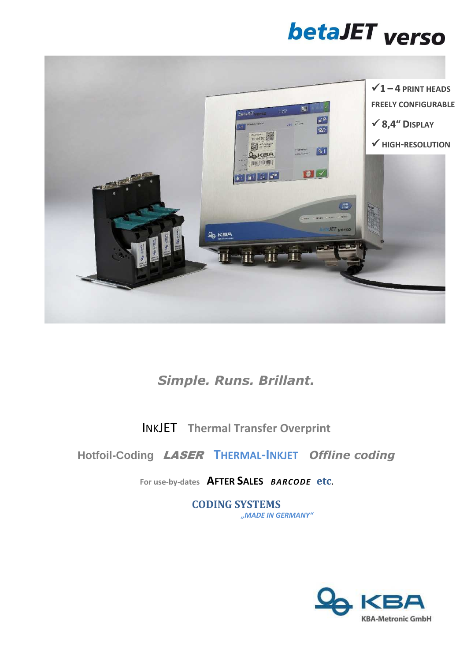# betaJET verso



## *Simple. Runs. Brillant.*

INKJET **Thermal Transfer Overprint**

### **Hotfoil-Coding** LASER**THERMAL-INKJET** *Offline coding*

**For use-by-dates AFTER SALES** *BARCODE* **etc.** 

**CODING SYSTEMS** *"MADE IN GERMANY"*